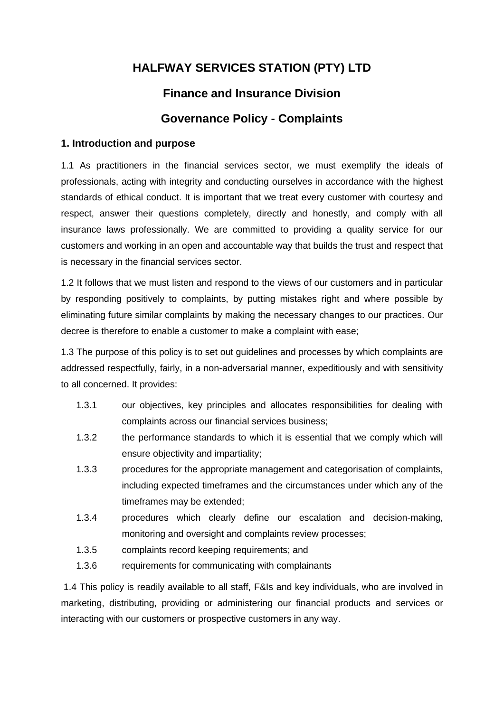# **HALFWAY SERVICES STATION (PTY) LTD**

# **Finance and Insurance Division**

# **Governance Policy - Complaints**

## **1. Introduction and purpose**

1.1 As practitioners in the financial services sector, we must exemplify the ideals of professionals, acting with integrity and conducting ourselves in accordance with the highest standards of ethical conduct. It is important that we treat every customer with courtesy and respect, answer their questions completely, directly and honestly, and comply with all insurance laws professionally. We are committed to providing a quality service for our customers and working in an open and accountable way that builds the trust and respect that is necessary in the financial services sector.

1.2 It follows that we must listen and respond to the views of our customers and in particular by responding positively to complaints, by putting mistakes right and where possible by eliminating future similar complaints by making the necessary changes to our practices. Our decree is therefore to enable a customer to make a complaint with ease;

1.3 The purpose of this policy is to set out guidelines and processes by which complaints are addressed respectfully, fairly, in a non-adversarial manner, expeditiously and with sensitivity to all concerned. It provides:

- 1.3.1 our objectives, key principles and allocates responsibilities for dealing with complaints across our financial services business;
- 1.3.2 the performance standards to which it is essential that we comply which will ensure objectivity and impartiality;
- 1.3.3 procedures for the appropriate management and categorisation of complaints, including expected timeframes and the circumstances under which any of the timeframes may be extended;
- 1.3.4 procedures which clearly define our escalation and decision-making, monitoring and oversight and complaints review processes;
- 1.3.5 complaints record keeping requirements; and
- 1.3.6 requirements for communicating with complainants

1.4 This policy is readily available to all staff, F&Is and key individuals, who are involved in marketing, distributing, providing or administering our financial products and services or interacting with our customers or prospective customers in any way.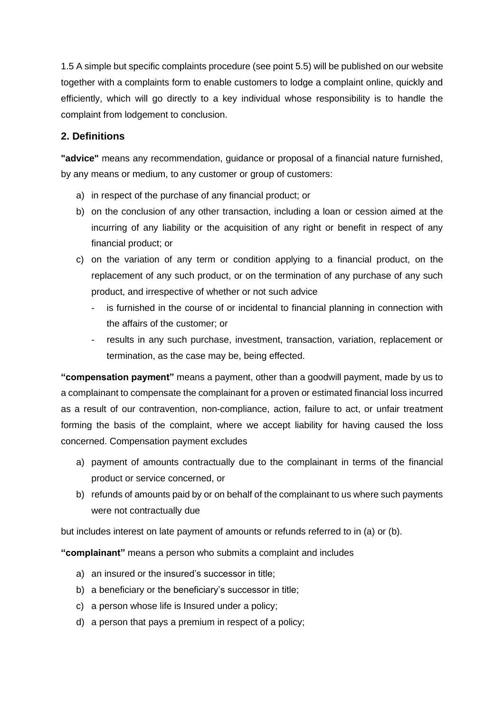1.5 A simple but specific complaints procedure (see point 5.5) will be published on our website together with a complaints form to enable customers to lodge a complaint online, quickly and efficiently, which will go directly to a key individual whose responsibility is to handle the complaint from lodgement to conclusion.

## **2. Definitions**

**"advice"** means any recommendation, guidance or proposal of a financial nature furnished, by any means or medium, to any customer or group of customers:

- a) in respect of the purchase of any financial product; or
- b) on the conclusion of any other transaction, including a loan or cession aimed at the incurring of any liability or the acquisition of any right or benefit in respect of any financial product; or
- c) on the variation of any term or condition applying to a financial product, on the replacement of any such product, or on the termination of any purchase of any such product, and irrespective of whether or not such advice
	- is furnished in the course of or incidental to financial planning in connection with the affairs of the customer; or
	- results in any such purchase, investment, transaction, variation, replacement or termination, as the case may be, being effected.

**"compensation payment"** means a payment, other than a goodwill payment, made by us to a complainant to compensate the complainant for a proven or estimated financial loss incurred as a result of our contravention, non-compliance, action, failure to act, or unfair treatment forming the basis of the complaint, where we accept liability for having caused the loss concerned. Compensation payment excludes

- a) payment of amounts contractually due to the complainant in terms of the financial product or service concerned, or
- b) refunds of amounts paid by or on behalf of the complainant to us where such payments were not contractually due

but includes interest on late payment of amounts or refunds referred to in (a) or (b).

**"complainant"** means a person who submits a complaint and includes

- a) an insured or the insured's successor in title;
- b) a beneficiary or the beneficiary's successor in title;
- c) a person whose life is Insured under a policy;
- d) a person that pays a premium in respect of a policy;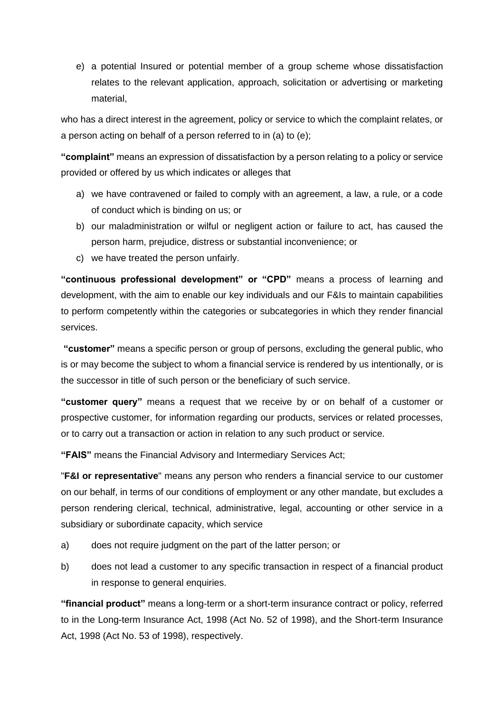e) a potential Insured or potential member of a group scheme whose dissatisfaction relates to the relevant application, approach, solicitation or advertising or marketing material,

who has a direct interest in the agreement, policy or service to which the complaint relates, or a person acting on behalf of a person referred to in (a) to (e);

**"complaint"** means an expression of dissatisfaction by a person relating to a policy or service provided or offered by us which indicates or alleges that

- a) we have contravened or failed to comply with an agreement, a law, a rule, or a code of conduct which is binding on us; or
- b) our maladministration or wilful or negligent action or failure to act, has caused the person harm, prejudice, distress or substantial inconvenience; or
- c) we have treated the person unfairly.

**"continuous professional development" or "CPD"** means a process of learning and development, with the aim to enable our key individuals and our F&Is to maintain capabilities to perform competently within the categories or subcategories in which they render financial services.

**"customer"** means a specific person or group of persons, excluding the general public, who is or may become the subject to whom a financial service is rendered by us intentionally, or is the successor in title of such person or the beneficiary of such service.

**"customer query"** means a request that we receive by or on behalf of a customer or prospective customer, for information regarding our products, services or related processes, or to carry out a transaction or action in relation to any such product or service.

**"FAIS"** means the Financial Advisory and Intermediary Services Act;

"**F&I or representative**" means any person who renders a financial service to our customer on our behalf, in terms of our conditions of employment or any other mandate, but excludes a person rendering clerical, technical, administrative, legal, accounting or other service in a subsidiary or subordinate capacity, which service

- a) does not require judgment on the part of the latter person; or
- b) does not lead a customer to any specific transaction in respect of a financial product in response to general enquiries.

**"financial product"** means a long-term or a short-term insurance contract or policy, referred to in the Long-term Insurance Act, 1998 (Act No. 52 of 1998), and the Short-term Insurance Act, 1998 (Act No. 53 of 1998), respectively.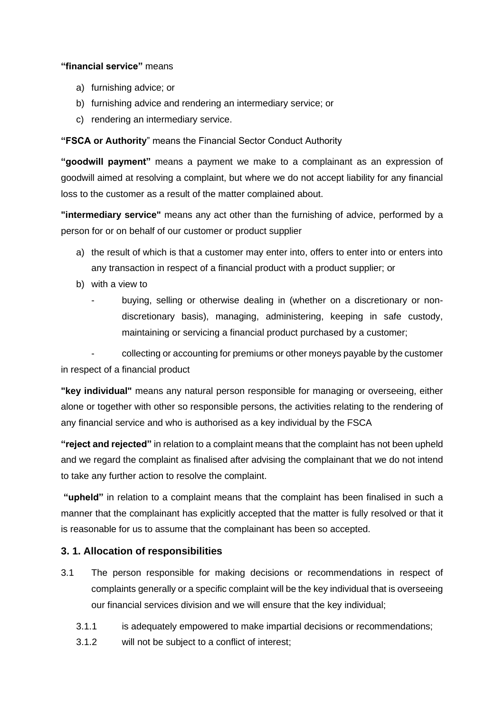### **"financial service"** means

- a) furnishing advice; or
- b) furnishing advice and rendering an intermediary service; or
- c) rendering an intermediary service.

### **"FSCA or Authority**" means the Financial Sector Conduct Authority

**"goodwill payment"** means a payment we make to a complainant as an expression of goodwill aimed at resolving a complaint, but where we do not accept liability for any financial loss to the customer as a result of the matter complained about.

**"intermediary service"** means any act other than the furnishing of advice, performed by a person for or on behalf of our customer or product supplier

- a) the result of which is that a customer may enter into, offers to enter into or enters into any transaction in respect of a financial product with a product supplier; or
- b) with a view to
	- buying, selling or otherwise dealing in (whether on a discretionary or nondiscretionary basis), managing, administering, keeping in safe custody, maintaining or servicing a financial product purchased by a customer;

- collecting or accounting for premiums or other moneys payable by the customer in respect of a financial product

**"key individual"** means any natural person responsible for managing or overseeing, either alone or together with other so responsible persons, the activities relating to the rendering of any financial service and who is authorised as a key individual by the FSCA

**"reject and rejected"** in relation to a complaint means that the complaint has not been upheld and we regard the complaint as finalised after advising the complainant that we do not intend to take any further action to resolve the complaint.

**"upheld"** in relation to a complaint means that the complaint has been finalised in such a manner that the complainant has explicitly accepted that the matter is fully resolved or that it is reasonable for us to assume that the complainant has been so accepted.

## **3. 1. Allocation of responsibilities**

- 3.1 The person responsible for making decisions or recommendations in respect of complaints generally or a specific complaint will be the key individual that is overseeing our financial services division and we will ensure that the key individual;
	- 3.1.1 is adequately empowered to make impartial decisions or recommendations;
	- 3.1.2 will not be subject to a conflict of interest;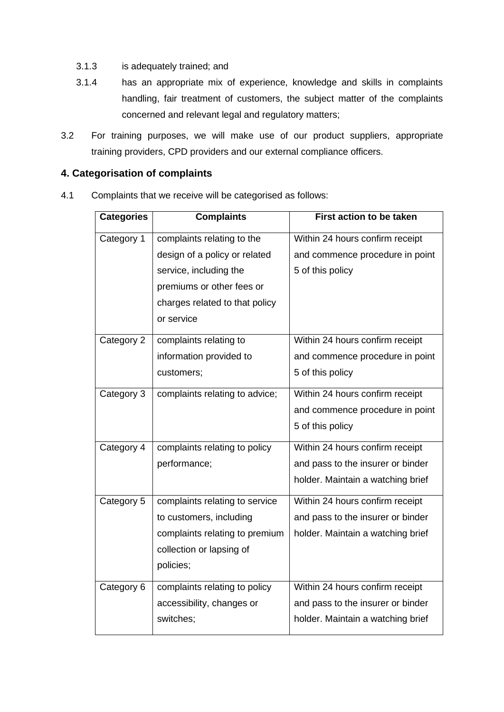- 3.1.3 is adequately trained; and
- 3.1.4 has an appropriate mix of experience, knowledge and skills in complaints handling, fair treatment of customers, the subject matter of the complaints concerned and relevant legal and regulatory matters;
- 3.2 For training purposes, we will make use of our product suppliers, appropriate training providers, CPD providers and our external compliance officers.

## **4. Categorisation of complaints**

4.1 Complaints that we receive will be categorised as follows:

| <b>Categories</b> | <b>Complaints</b>              | <b>First action to be taken</b>   |
|-------------------|--------------------------------|-----------------------------------|
| Category 1        | complaints relating to the     | Within 24 hours confirm receipt   |
|                   | design of a policy or related  | and commence procedure in point   |
|                   | service, including the         | 5 of this policy                  |
|                   | premiums or other fees or      |                                   |
|                   | charges related to that policy |                                   |
|                   | or service                     |                                   |
| Category 2        | complaints relating to         | Within 24 hours confirm receipt   |
|                   | information provided to        | and commence procedure in point   |
|                   | customers;                     | 5 of this policy                  |
| Category 3        | complaints relating to advice; | Within 24 hours confirm receipt   |
|                   |                                | and commence procedure in point   |
|                   |                                | 5 of this policy                  |
| Category 4        | complaints relating to policy  | Within 24 hours confirm receipt   |
|                   | performance;                   | and pass to the insurer or binder |
|                   |                                | holder. Maintain a watching brief |
| Category 5        | complaints relating to service | Within 24 hours confirm receipt   |
|                   | to customers, including        | and pass to the insurer or binder |
|                   | complaints relating to premium | holder. Maintain a watching brief |
|                   | collection or lapsing of       |                                   |
|                   | policies;                      |                                   |
| Category 6        | complaints relating to policy  | Within 24 hours confirm receipt   |
|                   | accessibility, changes or      | and pass to the insurer or binder |
|                   | switches;                      | holder. Maintain a watching brief |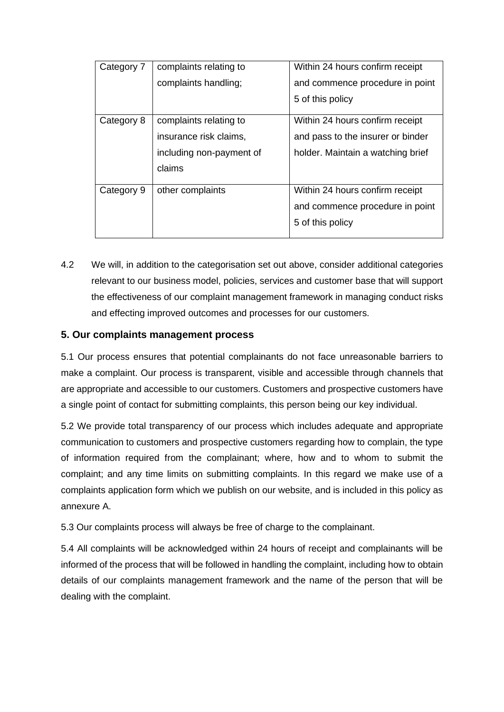| Category 7 | complaints relating to   | Within 24 hours confirm receipt   |
|------------|--------------------------|-----------------------------------|
|            | complaints handling:     | and commence procedure in point   |
|            |                          | 5 of this policy                  |
| Category 8 | complaints relating to   | Within 24 hours confirm receipt   |
|            | insurance risk claims,   | and pass to the insurer or binder |
|            | including non-payment of | holder. Maintain a watching brief |
|            | claims                   |                                   |
| Category 9 | other complaints         | Within 24 hours confirm receipt   |
|            |                          | and commence procedure in point   |
|            |                          | 5 of this policy                  |

4.2 We will, in addition to the categorisation set out above, consider additional categories relevant to our business model, policies, services and customer base that will support the effectiveness of our complaint management framework in managing conduct risks and effecting improved outcomes and processes for our customers.

## **5. Our complaints management process**

5.1 Our process ensures that potential complainants do not face unreasonable barriers to make a complaint. Our process is transparent, visible and accessible through channels that are appropriate and accessible to our customers. Customers and prospective customers have a single point of contact for submitting complaints, this person being our key individual.

5.2 We provide total transparency of our process which includes adequate and appropriate communication to customers and prospective customers regarding how to complain, the type of information required from the complainant; where, how and to whom to submit the complaint; and any time limits on submitting complaints. In this regard we make use of a complaints application form which we publish on our website, and is included in this policy as annexure A.

5.3 Our complaints process will always be free of charge to the complainant.

5.4 All complaints will be acknowledged within 24 hours of receipt and complainants will be informed of the process that will be followed in handling the complaint, including how to obtain details of our complaints management framework and the name of the person that will be dealing with the complaint.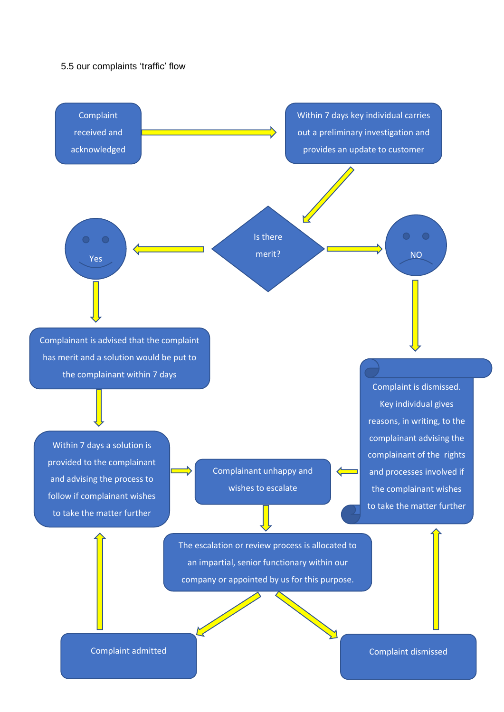#### 5.5 our complaints 'traffic' flow

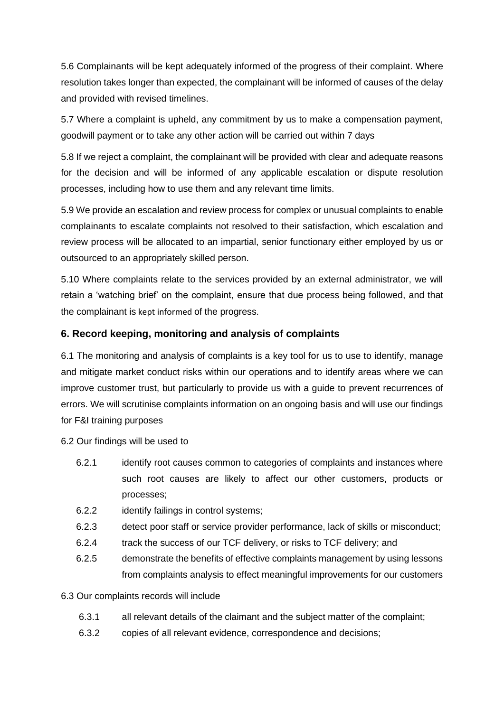5.6 Complainants will be kept adequately informed of the progress of their complaint. Where resolution takes longer than expected, the complainant will be informed of causes of the delay and provided with revised timelines.

5.7 Where a complaint is upheld, any commitment by us to make a compensation payment, goodwill payment or to take any other action will be carried out within 7 days

5.8 If we reject a complaint, the complainant will be provided with clear and adequate reasons for the decision and will be informed of any applicable escalation or dispute resolution processes, including how to use them and any relevant time limits.

5.9 We provide an escalation and review process for complex or unusual complaints to enable complainants to escalate complaints not resolved to their satisfaction, which escalation and review process will be allocated to an impartial, senior functionary either employed by us or outsourced to an appropriately skilled person.

5.10 Where complaints relate to the services provided by an external administrator, we will retain a 'watching brief' on the complaint, ensure that due process being followed, and that the complainant is kept informed of the progress.

## **6. Record keeping, monitoring and analysis of complaints**

6.1 The monitoring and analysis of complaints is a key tool for us to use to identify, manage and mitigate market conduct risks within our operations and to identify areas where we can improve customer trust, but particularly to provide us with a guide to prevent recurrences of errors. We will scrutinise complaints information on an ongoing basis and will use our findings for F&I training purposes

6.2 Our findings will be used to

- 6.2.1 identify root causes common to categories of complaints and instances where such root causes are likely to affect our other customers, products or processes;
- 6.2.2 identify failings in control systems;
- 6.2.3 detect poor staff or service provider performance, lack of skills or misconduct;
- 6.2.4 track the success of our TCF delivery, or risks to TCF delivery; and
- 6.2.5 demonstrate the benefits of effective complaints management by using lessons from complaints analysis to effect meaningful improvements for our customers

### 6.3 Our complaints records will include

- 6.3.1 all relevant details of the claimant and the subject matter of the complaint;
- 6.3.2 copies of all relevant evidence, correspondence and decisions;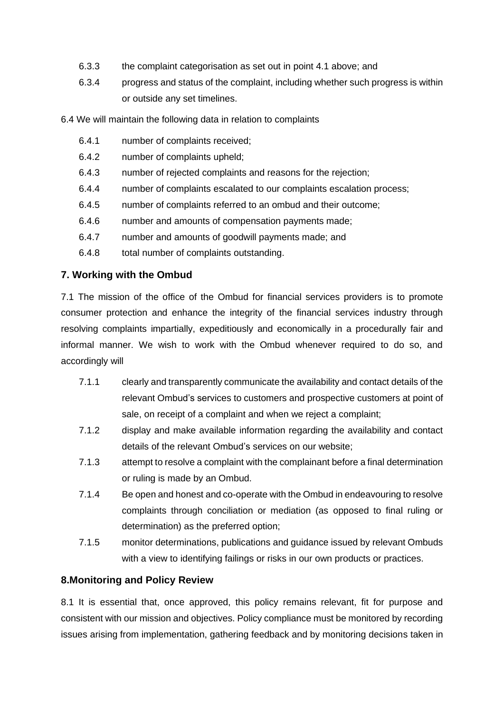- 6.3.3 the complaint categorisation as set out in point 4.1 above; and
- 6.3.4 progress and status of the complaint, including whether such progress is within or outside any set timelines.

6.4 We will maintain the following data in relation to complaints

- 6.4.1 number of complaints received;
- 6.4.2 number of complaints upheld;
- 6.4.3 number of rejected complaints and reasons for the rejection;
- 6.4.4 number of complaints escalated to our complaints escalation process;
- 6.4.5 number of complaints referred to an ombud and their outcome;
- 6.4.6 number and amounts of compensation payments made;
- 6.4.7 number and amounts of goodwill payments made; and
- 6.4.8 total number of complaints outstanding.

## **7. Working with the Ombud**

7.1 The mission of the office of the Ombud for financial services providers is to promote consumer protection and enhance the integrity of the financial services industry through resolving complaints impartially, expeditiously and economically in a procedurally fair and informal manner. We wish to work with the Ombud whenever required to do so, and accordingly will

- 7.1.1 clearly and transparently communicate the availability and contact details of the relevant Ombud's services to customers and prospective customers at point of sale, on receipt of a complaint and when we reject a complaint;
- 7.1.2 display and make available information regarding the availability and contact details of the relevant Ombud's services on our website;
- 7.1.3 attempt to resolve a complaint with the complainant before a final determination or ruling is made by an Ombud.
- 7.1.4 Be open and honest and co-operate with the Ombud in endeavouring to resolve complaints through conciliation or mediation (as opposed to final ruling or determination) as the preferred option;
- 7.1.5 monitor determinations, publications and guidance issued by relevant Ombuds with a view to identifying failings or risks in our own products or practices.

## **8.Monitoring and Policy Review**

8.1 It is essential that, once approved, this policy remains relevant, fit for purpose and consistent with our mission and objectives. Policy compliance must be monitored by recording issues arising from implementation, gathering feedback and by monitoring decisions taken in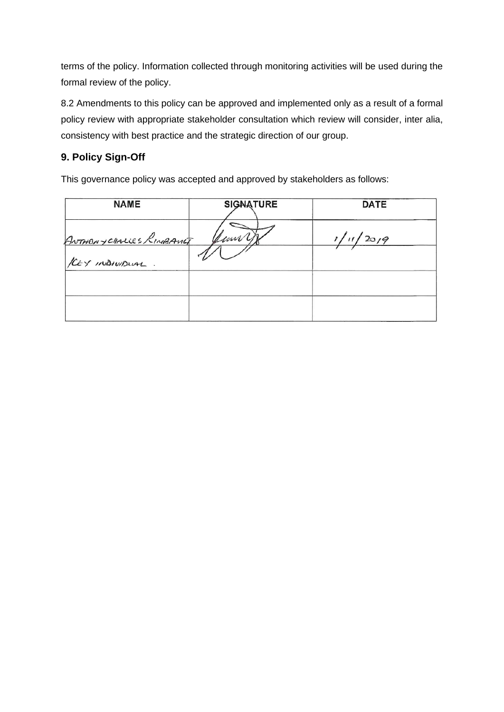terms of the policy. Information collected through monitoring activities will be used during the formal review of the policy.

8.2 Amendments to this policy can be approved and implemented only as a result of a formal policy review with appropriate stakeholder consultation which review will consider, inter alia, consistency with best practice and the strategic direction of our group.

# **9. Policy Sign-Off**

This governance policy was accepted and approved by stakeholders as follows:

| <b>NAME</b>             | <b>SIGNATURE</b> | <b>DATE</b> |
|-------------------------|------------------|-------------|
| ANTHONYCHALLES RINBANLE | yunn,            | 1/20/9      |
| KEY INDIVIDUAL.         |                  |             |
|                         |                  |             |
|                         |                  |             |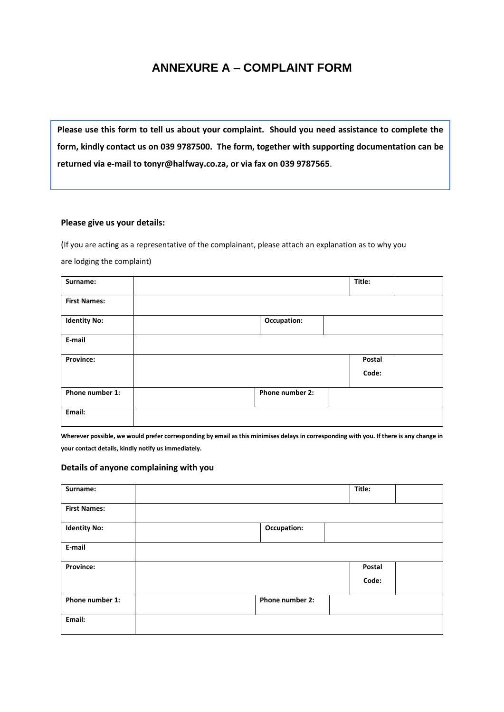# **ANNEXURE A – COMPLAINT FORM**

**Please use this form to tell us about your complaint. Should you need assistance to complete the form, kindly contact us on 039 9787500. The form, together with supporting documentation can be returned via e-mail to tonyr@halfway.co.za, or via fax on 039 9787565**.

#### **Please give us your details:**

(If you are acting as a representative of the complainant, please attach an explanation as to why you are lodging the complaint)

| Surname:            |                 | Title: |
|---------------------|-----------------|--------|
| <b>First Names:</b> |                 |        |
| <b>Identity No:</b> | Occupation:     |        |
| E-mail              |                 |        |
| Province:           |                 | Postal |
|                     |                 | Code:  |
| Phone number 1:     | Phone number 2: |        |
| Email:              |                 |        |

**Wherever possible, we would prefer corresponding by email as this minimises delays in corresponding with you. If there is any change in your contact details, kindly notify us immediately.**

#### **Details of anyone complaining with you**

| Surname:            |                 | Title: |  |
|---------------------|-----------------|--------|--|
| <b>First Names:</b> |                 |        |  |
| <b>Identity No:</b> | Occupation:     |        |  |
| E-mail              |                 |        |  |
| Province:           |                 | Postal |  |
|                     |                 | Code:  |  |
| Phone number 1:     | Phone number 2: |        |  |
| Email:              |                 |        |  |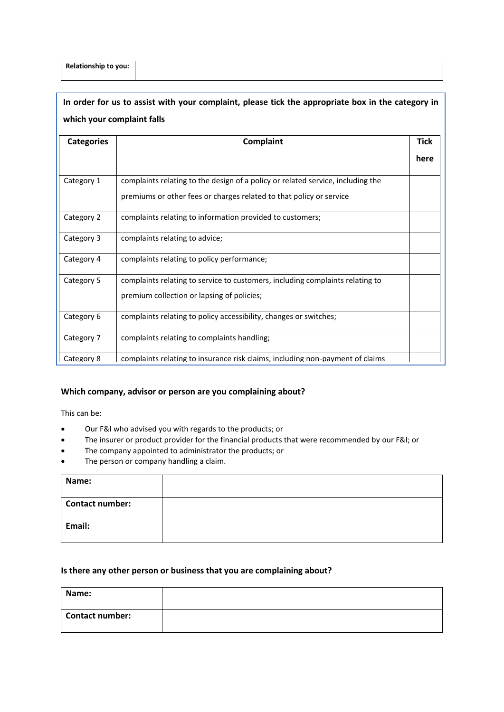| <b>Categories</b> | <b>Complaint</b>                                                                | <b>Tick</b> |
|-------------------|---------------------------------------------------------------------------------|-------------|
|                   |                                                                                 | here        |
| Category 1        | complaints relating to the design of a policy or related service, including the |             |
|                   | premiums or other fees or charges related to that policy or service             |             |
| Category 2        | complaints relating to information provided to customers;                       |             |
| Category 3        | complaints relating to advice;                                                  |             |
| Category 4        | complaints relating to policy performance;                                      |             |
| Category 5        | complaints relating to service to customers, including complaints relating to   |             |
|                   | premium collection or lapsing of policies;                                      |             |
| Category 6        | complaints relating to policy accessibility, changes or switches;               |             |
| Category 7        | complaints relating to complaints handling;                                     |             |
| Category 8        | complaints relating to insurance risk claims, including non-payment of claims   |             |

#### **Which company, advisor or person are you complaining about?**

This can be:

- Our F&I who advised you with regards to the products; or
- The insurer or product provider for the financial products that were recommended by our F&I; or
- The company appointed to administrator the products; or
- The person or company handling a claim.

| Name:                  |  |
|------------------------|--|
| <b>Contact number:</b> |  |
| Email:                 |  |

#### **Is there any other person or business that you are complaining about?**

| Name:           |  |
|-----------------|--|
| Contact number: |  |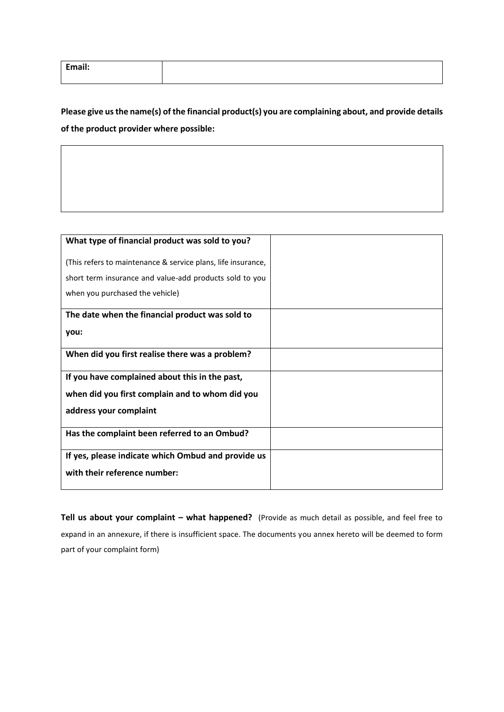| Email: |  |
|--------|--|
|        |  |

**Please give us the name(s) of the financial product(s) you are complaining about, and provide details of the product provider where possible:**

| What type of financial product was sold to you?              |  |
|--------------------------------------------------------------|--|
|                                                              |  |
| (This refers to maintenance & service plans, life insurance, |  |
|                                                              |  |
| short term insurance and value-add products sold to you      |  |
| when you purchased the vehicle)                              |  |
|                                                              |  |
| The date when the financial product was sold to              |  |
|                                                              |  |
| you:                                                         |  |
| When did you first realise there was a problem?              |  |
|                                                              |  |
| If you have complained about this in the past,               |  |
|                                                              |  |
| when did you first complain and to whom did you              |  |
| address your complaint                                       |  |
|                                                              |  |
| Has the complaint been referred to an Ombud?                 |  |
|                                                              |  |
| If yes, please indicate which Ombud and provide us           |  |
| with their reference number:                                 |  |
|                                                              |  |
|                                                              |  |

**Tell us about your complaint – what happened?** (Provide as much detail as possible, and feel free to expand in an annexure, if there is insufficient space. The documents you annex hereto will be deemed to form part of your complaint form)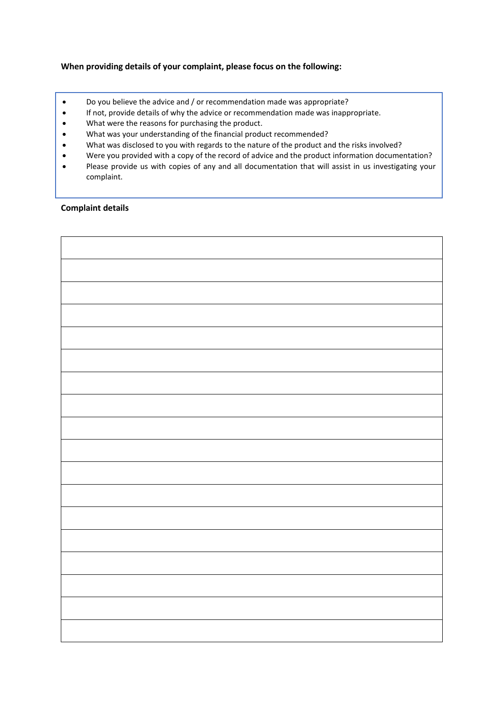#### **When providing details of your complaint, please focus on the following:**

- Do you believe the advice and / or recommendation made was appropriate?
- If not, provide details of why the advice or recommendation made was inappropriate.
- What were the reasons for purchasing the product.
- What was your understanding of the financial product recommended?
- What was disclosed to you with regards to the nature of the product and the risks involved?
- Were you provided with a copy of the record of advice and the product information documentation?
- Please provide us with copies of any and all documentation that will assist in us investigating your complaint.

#### **Complaint details**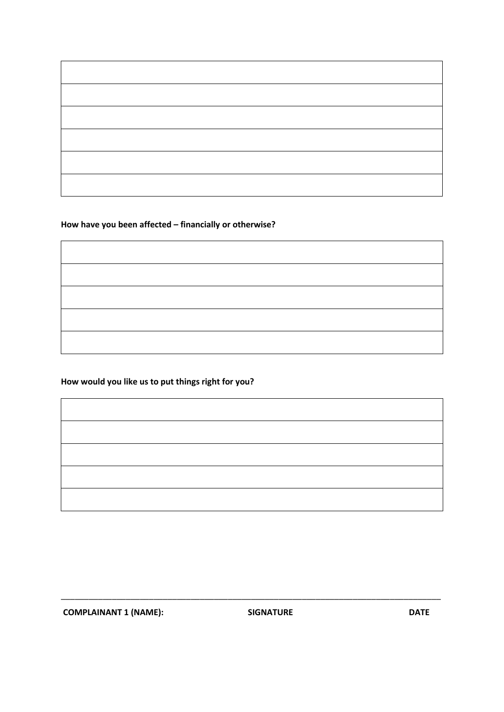# **How have you been affected – financially or otherwise?**

# **How would you like us to put things right for you?**

| the control of the control of the control of |  |  |
|----------------------------------------------|--|--|
|                                              |  |  |
|                                              |  |  |
|                                              |  |  |

\_\_\_\_\_\_\_\_\_\_\_\_\_\_\_\_\_\_\_\_\_\_\_\_\_\_\_\_\_\_\_\_\_\_\_\_\_\_\_\_\_\_\_\_\_\_\_\_\_\_\_\_\_\_\_\_\_\_\_\_\_\_\_\_\_\_\_\_\_\_\_\_\_\_\_\_\_\_\_\_\_\_